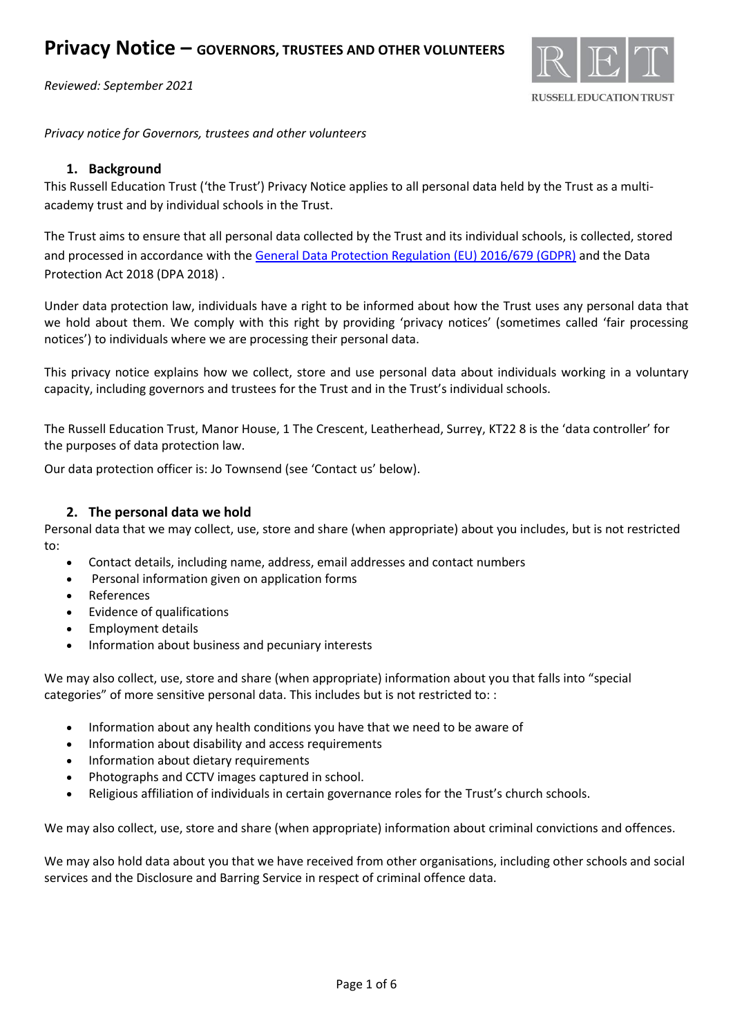

*Privacy notice for Governors, trustees and other volunteers*

### **1. Background**

This Russell Education Trust ('the Trust') Privacy Notice applies to all personal data held by the Trust as a multiacademy trust and by individual schools in the Trust.

The Trust aims to ensure that all personal data collected by the Trust and its individual schools, is collected, stored and processed in accordance with th[e General Data Protection Regulation \(EU\) 2016/679 \(GDPR\)](http://data.consilium.europa.eu/doc/document/ST-5419-2016-INIT/en/pdf) and the Data Protection Act 2018 (DPA 2018) .

Under data protection law, individuals have a right to be informed about how the Trust uses any personal data that we hold about them. We comply with this right by providing 'privacy notices' (sometimes called 'fair processing notices') to individuals where we are processing their personal data.

This privacy notice explains how we collect, store and use personal data about individuals working in a voluntary capacity, including governors and trustees for the Trust and in the Trust's individual schools.

The Russell Education Trust, Manor House, 1 The Crescent, Leatherhead, Surrey, KT22 8 is the 'data controller' for the purposes of data protection law.

Our data protection officer is: Jo Townsend (see 'Contact us' below).

## **2. The personal data we hold**

Personal data that we may collect, use, store and share (when appropriate) about you includes, but is not restricted to:

- Contact details, including name, address, email addresses and contact numbers
- Personal information given on application forms
- **References**
- Evidence of qualifications
- Employment details
- Information about business and pecuniary interests

We may also collect, use, store and share (when appropriate) information about you that falls into "special categories" of more sensitive personal data. This includes but is not restricted to: :

- Information about any health conditions you have that we need to be aware of
- Information about disability and access requirements
- Information about dietary requirements
- Photographs and CCTV images captured in school.
- Religious affiliation of individuals in certain governance roles for the Trust's church schools.

We may also collect, use, store and share (when appropriate) information about criminal convictions and offences.

We may also hold data about you that we have received from other organisations, including other schools and social services and the Disclosure and Barring Service in respect of criminal offence data.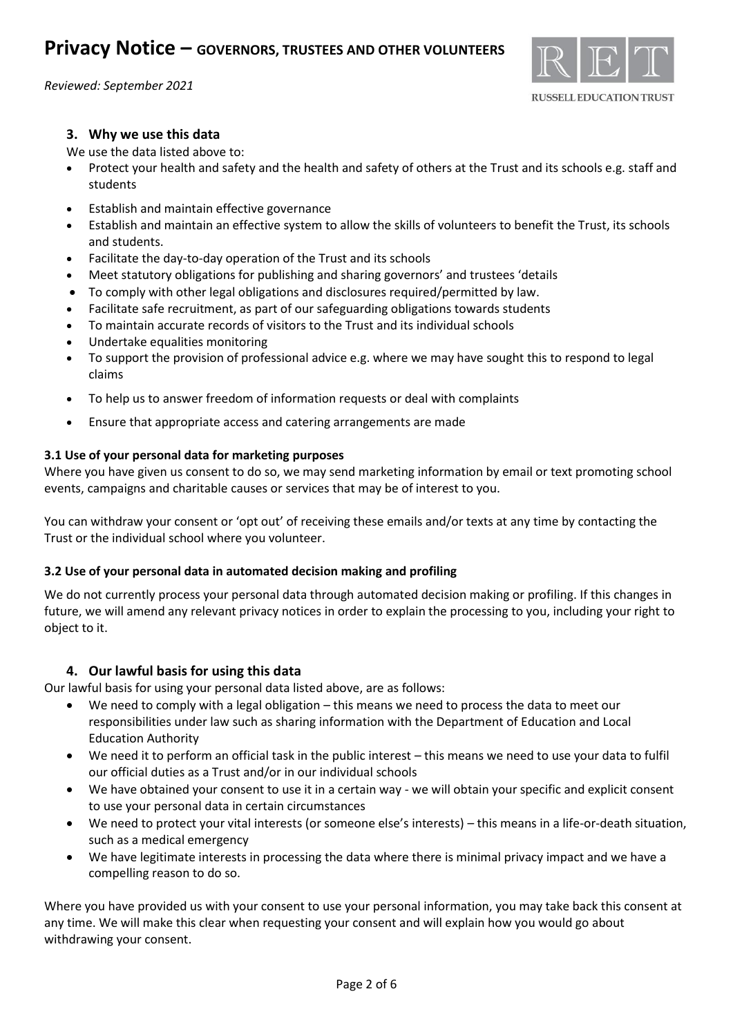

## **3. Why we use this data**

We use the data listed above to:

- Protect your health and safety and the health and safety of others at the Trust and its schools e.g. staff and students
- Establish and maintain effective governance
- Establish and maintain an effective system to allow the skills of volunteers to benefit the Trust, its schools and students.
- Facilitate the day-to-day operation of the Trust and its schools
- Meet statutory obligations for publishing and sharing governors' and trustees 'details
- To comply with other legal obligations and disclosures required/permitted by law.
- Facilitate safe recruitment, as part of our safeguarding obligations towards students
- To maintain accurate records of visitors to the Trust and its individual schools
- Undertake equalities monitoring
- To support the provision of professional advice e.g. where we may have sought this to respond to legal claims
- To help us to answer freedom of information requests or deal with complaints
- Ensure that appropriate access and catering arrangements are made

## **3.1 Use of your personal data for marketing purposes**

Where you have given us consent to do so, we may send marketing information by email or text promoting school events, campaigns and charitable causes or services that may be of interest to you.

You can withdraw your consent or 'opt out' of receiving these emails and/or texts at any time by contacting the Trust or the individual school where you volunteer.

#### **3.2 Use of your personal data in automated decision making and profiling**

We do not currently process your personal data through automated decision making or profiling. If this changes in future, we will amend any relevant privacy notices in order to explain the processing to you, including your right to object to it.

#### **4. Our lawful basis for using this data**

Our lawful basis for using your personal data listed above, are as follows:

- We need to comply with a legal obligation this means we need to process the data to meet our responsibilities under law such as sharing information with the Department of Education and Local Education Authority
- We need it to perform an official task in the public interest this means we need to use your data to fulfil our official duties as a Trust and/or in our individual schools
- We have obtained your consent to use it in a certain way we will obtain your specific and explicit consent to use your personal data in certain circumstances
- We need to protect your vital interests (or someone else's interests) this means in a life-or-death situation, such as a medical emergency
- We have legitimate interests in processing the data where there is minimal privacy impact and we have a compelling reason to do so.

Where you have provided us with your consent to use your personal information, you may take back this consent at any time. We will make this clear when requesting your consent and will explain how you would go about withdrawing your consent.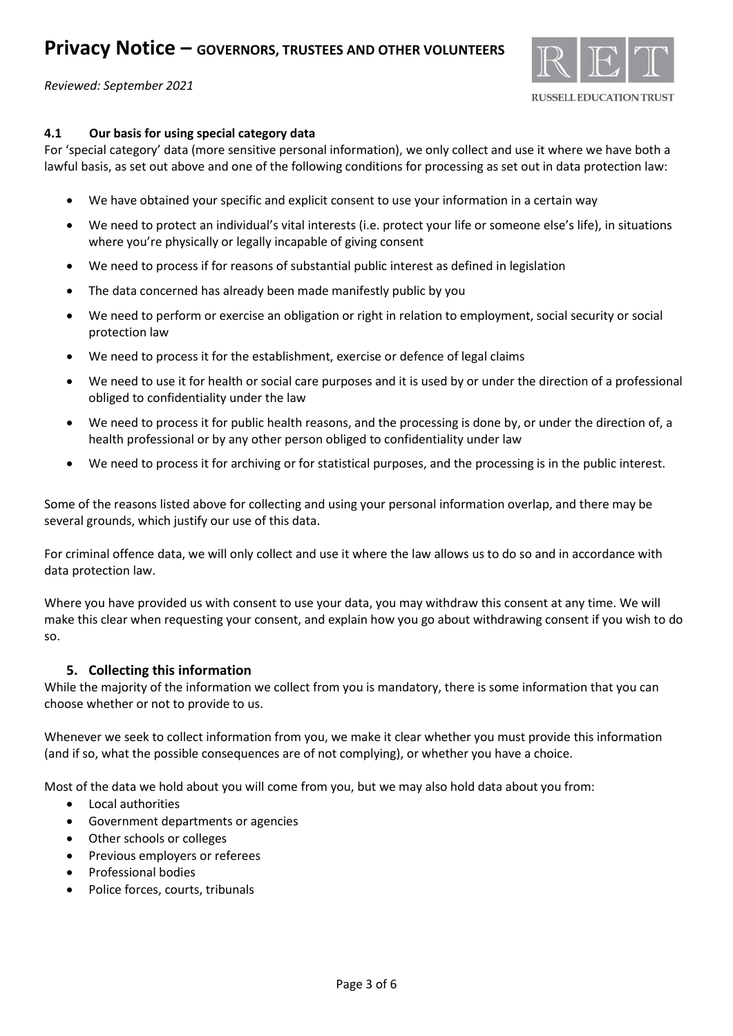

# **4.1 Our basis for using special category data**

For 'special category' data (more sensitive personal information), we only collect and use it where we have both a lawful basis, as set out above and one of the following conditions for processing as set out in data protection law:

- We have obtained your specific and explicit consent to use your information in a certain way
- We need to protect an individual's vital interests (i.e. protect your life or someone else's life), in situations where you're physically or legally incapable of giving consent
- We need to process if for reasons of substantial public interest as defined in legislation
- The data concerned has already been made manifestly public by you
- We need to perform or exercise an obligation or right in relation to employment, social security or social protection law
- We need to process it for the establishment, exercise or defence of legal claims
- We need to use it for health or social care purposes and it is used by or under the direction of a professional obliged to confidentiality under the law
- We need to process it for public health reasons, and the processing is done by, or under the direction of, a health professional or by any other person obliged to confidentiality under law
- We need to process it for archiving or for statistical purposes, and the processing is in the public interest.

Some of the reasons listed above for collecting and using your personal information overlap, and there may be several grounds, which justify our use of this data.

For criminal offence data, we will only collect and use it where the law allows us to do so and in accordance with data protection law.

Where you have provided us with consent to use your data, you may withdraw this consent at any time. We will make this clear when requesting your consent, and explain how you go about withdrawing consent if you wish to do so.

# **5. Collecting this information**

While the majority of the information we collect from you is mandatory, there is some information that you can choose whether or not to provide to us.

Whenever we seek to collect information from you, we make it clear whether you must provide this information (and if so, what the possible consequences are of not complying), or whether you have a choice.

Most of the data we hold about you will come from you, but we may also hold data about you from:

- Local authorities
- Government departments or agencies
- Other schools or colleges
- Previous employers or referees
- Professional bodies
- Police forces, courts, tribunals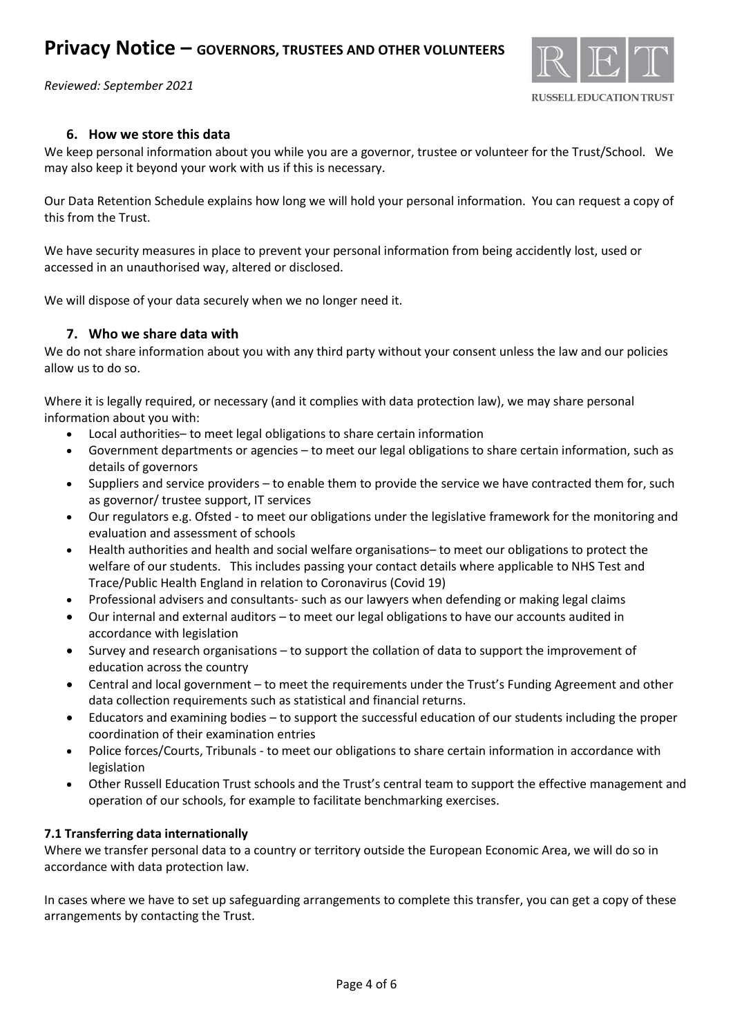# **Privacy Notice – GOVERNORS, TRUSTEES AND OTHER VOLUNTEERS**

*Reviewed: September 2021*



# **6. How we store this data**

We keep personal information about you while you are a governor, trustee or volunteer for the Trust/School. We may also keep it beyond your work with us if this is necessary.

Our Data Retention Schedule explains how long we will hold your personal information. You can request a copy of this from the Trust.

We have security measures in place to prevent your personal information from being accidently lost, used or accessed in an unauthorised way, altered or disclosed.

We will dispose of your data securely when we no longer need it.

## **7. Who we share data with**

We do not share information about you with any third party without your consent unless the law and our policies allow us to do so.

Where it is legally required, or necessary (and it complies with data protection law), we may share personal information about you with:

- Local authorities– to meet legal obligations to share certain information
- Government departments or agencies to meet our legal obligations to share certain information, such as details of governors
- Suppliers and service providers to enable them to provide the service we have contracted them for, such as governor/ trustee support, IT services
- Our regulators e.g. Ofsted to meet our obligations under the legislative framework for the monitoring and evaluation and assessment of schools
- Health authorities and health and social welfare organisations– to meet our obligations to protect the welfare of our students. This includes passing your contact details where applicable to NHS Test and Trace/Public Health England in relation to Coronavirus (Covid 19)
- Professional advisers and consultants- such as our lawyers when defending or making legal claims
- Our internal and external auditors to meet our legal obligations to have our accounts audited in accordance with legislation
- Survey and research organisations to support the collation of data to support the improvement of education across the country
- Central and local government to meet the requirements under the Trust's Funding Agreement and other data collection requirements such as statistical and financial returns.
- Educators and examining bodies to support the successful education of our students including the proper coordination of their examination entries
- Police forces/Courts, Tribunals to meet our obligations to share certain information in accordance with legislation
- Other Russell Education Trust schools and the Trust's central team to support the effective management and operation of our schools, for example to facilitate benchmarking exercises.

#### **7.1 Transferring data internationally**

Where we transfer personal data to a country or territory outside the European Economic Area, we will do so in accordance with data protection law.

In cases where we have to set up safeguarding arrangements to complete this transfer, you can get a copy of these arrangements by contacting the Trust.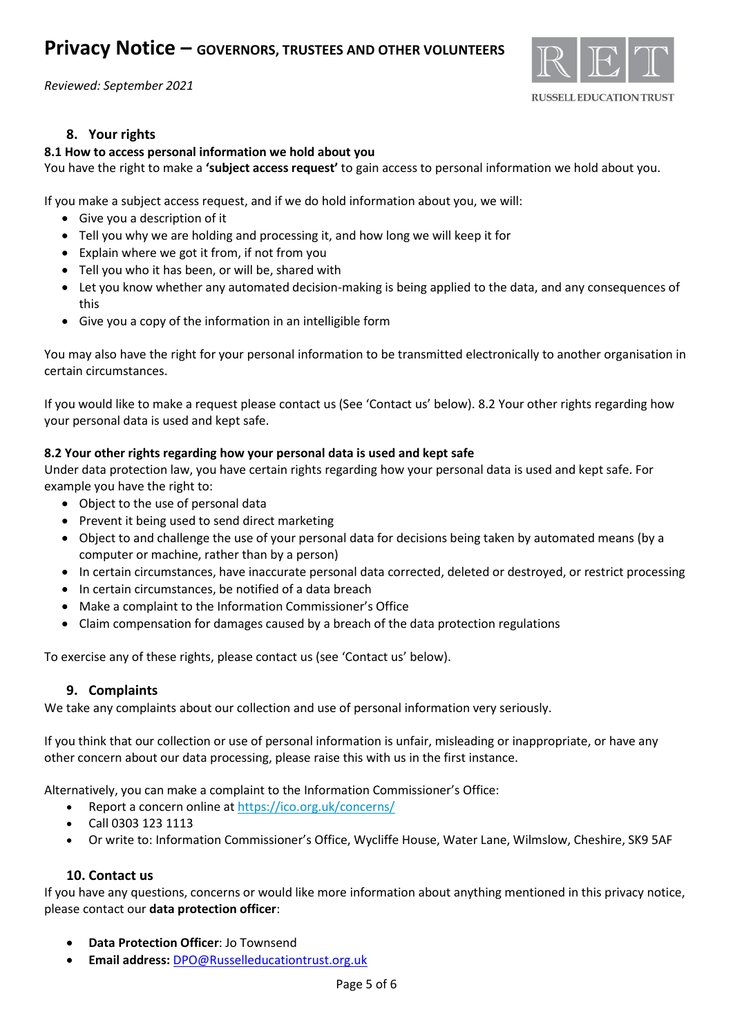

# **8. Your rights**

### **8.1 How to access personal information we hold about you**

You have the right to make a **'subject access request'** to gain access to personal information we hold about you.

If you make a subject access request, and if we do hold information about you, we will:

- Give you a description of it
- Tell you why we are holding and processing it, and how long we will keep it for
- Explain where we got it from, if not from you
- Tell you who it has been, or will be, shared with
- Let you know whether any automated decision-making is being applied to the data, and any consequences of this
- Give you a copy of the information in an intelligible form

You may also have the right for your personal information to be transmitted electronically to another organisation in certain circumstances.

If you would like to make a request please contact us (See 'Contact us' below). 8.2 Your other rights regarding how your personal data is used and kept safe.

#### **8.2 Your other rights regarding how your personal data is used and kept safe**

Under data protection law, you have certain rights regarding how your personal data is used and kept safe. For example you have the right to:

- Object to the use of personal data
- Prevent it being used to send direct marketing
- Object to and challenge the use of your personal data for decisions being taken by automated means (by a computer or machine, rather than by a person)
- In certain circumstances, have inaccurate personal data corrected, deleted or destroyed, or restrict processing
- In certain circumstances, be notified of a data breach
- Make a complaint to the Information Commissioner's Office
- Claim compensation for damages caused by a breach of the data protection regulations

To exercise any of these rights, please contact us (see 'Contact us' below).

#### **9. Complaints**

We take any complaints about our collection and use of personal information very seriously.

If you think that our collection or use of personal information is unfair, misleading or inappropriate, or have any other concern about our data processing, please raise this with us in the first instance.

Alternatively, you can make a complaint to the Information Commissioner's Office:

- Report a concern online at<https://ico.org.uk/concerns/>
- Call 0303 123 1113
- Or write to: Information Commissioner's Office, Wycliffe House, Water Lane, Wilmslow, Cheshire, SK9 5AF

# **10. Contact us**

If you have any questions, concerns or would like more information about anything mentioned in this privacy notice, please contact our **data protection officer**:

- **Data Protection Officer**: Jo Townsend
- **Email address:** [DPO@Russelleducationtrust.org.uk](mailto:DPO@Russelleducationtrust.org.uk)